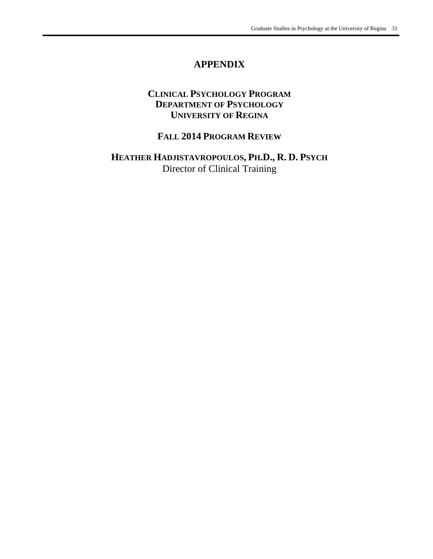# **APPENDIX**

## **CLINICAL PSYCHOLOGY PROGRAM DEPARTMENT OF PSYCHOLOGY UNIVERSITY OF REGINA**

# **FALL 2014 PROGRAM REVIEW**

**HEATHER HADJISTAVROPOULOS, PH.D., R. D. PSYCH** Director of Clinical Training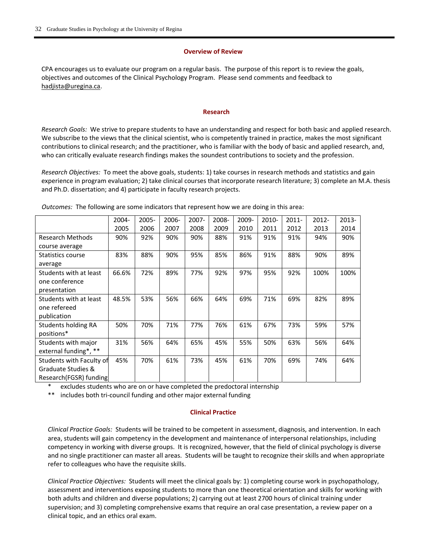#### **Overview of Review**

CPA encourages us to evaluate our program on a regular basis. The purpose of this report is to review the goals, objectives and outcomes of the Clinical Psychology Program. Please send comments and feedback to hadjista@uregina.ca.

#### **Research**

*Research Goals:* We strive to prepare students to have an understanding and respect for both basic and applied research. We subscribe to the views that the clinical scientist, who is competently trained in practice, makes the most significant contributions to clinical research; and the practitioner, who is familiar with the body of basic and applied research, and, who can critically evaluate research findings makes the soundest contributions to society and the profession.

*Research Objectives:* To meet the above goals, students: 1) take courses in research methods and statistics and gain experience in program evaluation; 2) take clinical courses that incorporate research literature; 3) complete an M.A. thesis and Ph.D. dissertation; and 4) participate in faculty research projects.

|                          | 2004- | $2005 -$ | 2006- | $2007 -$ | 2008- | 2009- | 2010- | $2011 -$ | 2012- | 2013- |
|--------------------------|-------|----------|-------|----------|-------|-------|-------|----------|-------|-------|
|                          | 2005  | 2006     | 2007  | 2008     | 2009  | 2010  | 2011  | 2012     | 2013  | 2014  |
| <b>Research Methods</b>  | 90%   | 92%      | 90%   | 90%      | 88%   | 91%   | 91%   | 91%      | 94%   | 90%   |
| course average           |       |          |       |          |       |       |       |          |       |       |
| Statistics course        | 83%   | 88%      | 90%   | 95%      | 85%   | 86%   | 91%   | 88%      | 90%   | 89%   |
| average                  |       |          |       |          |       |       |       |          |       |       |
| Students with at least   | 66.6% | 72%      | 89%   | 77%      | 92%   | 97%   | 95%   | 92%      | 100%  | 100%  |
| one conference           |       |          |       |          |       |       |       |          |       |       |
| presentation             |       |          |       |          |       |       |       |          |       |       |
| Students with at least   | 48.5% | 53%      | 56%   | 66%      | 64%   | 69%   | 71%   | 69%      | 82%   | 89%   |
| one refereed             |       |          |       |          |       |       |       |          |       |       |
| publication              |       |          |       |          |       |       |       |          |       |       |
| Students holding RA      | 50%   | 70%      | 71%   | 77%      | 76%   | 61%   | 67%   | 73%      | 59%   | 57%   |
| positions*               |       |          |       |          |       |       |       |          |       |       |
| Students with major      | 31%   | 56%      | 64%   | 65%      | 45%   | 55%   | 50%   | 63%      | 56%   | 64%   |
| external funding*, **    |       |          |       |          |       |       |       |          |       |       |
| Students with Faculty of | 45%   | 70%      | 61%   | 73%      | 45%   | 61%   | 70%   | 69%      | 74%   | 64%   |
| Graduate Studies &       |       |          |       |          |       |       |       |          |       |       |
| Research (FGSR) funding  |       |          |       |          |       |       |       |          |       |       |

*Outcomes:* The following are some indicators that represent how we are doing in this area:

excludes students who are on or have completed the predoctoral internship

\*\* includes both tri‐council funding and other major external funding

#### **Clinical Practice**

*Clinical Practice Goals:* Students will be trained to be competent in assessment, diagnosis, and intervention. In each area, students will gain competency in the development and maintenance of interpersonal relationships, including competency in working with diverse groups. It is recognized, however, that the field of clinical psychology is diverse and no single practitioner can master all areas. Students will be taught to recognize their skills and when appropriate refer to colleagues who have the requisite skills.

*Clinical Practice Objectives:* Students will meet the clinical goals by: 1) completing course work in psychopathology, assessment and interventions exposing students to more than one theoretical orientation and skills for working with both adults and children and diverse populations; 2) carrying out at least 2700 hours of clinical training under supervision; and 3) completing comprehensive exams that require an oral case presentation, a review paper on a clinical topic, and an ethics oral exam.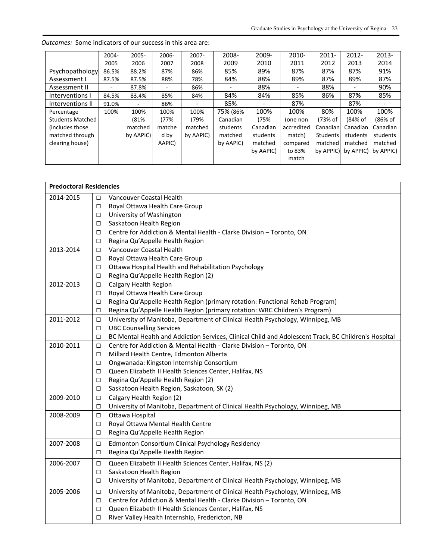|                         | $2004 -$ | 2005-     | 2006-  | $2007 -$  | 2008-     | 2009-     | 2010-      | $2011 -$  | $2012 -$                 | 2013-     |
|-------------------------|----------|-----------|--------|-----------|-----------|-----------|------------|-----------|--------------------------|-----------|
|                         | 2005     | 2006      | 2007   | 2008      | 2009      | 2010      | 2011       | 2012      | 2013                     | 2014      |
| Psychopathology         | 86.5%    | 88.2%     | 87%    | 86%       | 85%       | 89%       | 87%        | 87%       | 87%                      | 91%       |
| Assessment I            | 87.5%    | 87.5%     | 88%    | 78%       | 84%       | 88%       | 89%        | 87%       | 89%                      | 87%       |
| Assessment II           |          | 87.8%     | ٠      | 86%       |           | 88%       |            | 88%       | $\overline{\phantom{0}}$ | 90%       |
| Interventions I         | 84.5%    | 83.4%     | 85%    | 84%       | 84%       | 84%       | 85%        | 86%       | 87%                      | 85%       |
| Interventions II        | 91.0%    | ۰         | 86%    |           | 85%       |           | 87%        |           | 87%                      |           |
| Percentage              | 100%     | 100%      | 100%   | 100%      | 75% (86%  | 100%      | 100%       | 80%       | 100%                     | 100%      |
| <b>Students Matched</b> |          | (81%      | (77%   | (79%      | Canadian  | (75%      | (one non   | (73% of   | (84% of                  | (86% of   |
| (includes those)        |          | matched   | matche | matched   | students  | Canadian  | accredited | Canadian  | Canadianl                | Canadian  |
| matched through         |          | by AAPIC) | d by   | by AAPIC) | matched   | students  | match)     | Students  | students                 | students  |
| clearing house)         |          |           | AAPIC) |           | by AAPIC) | matched   | compared   | matched   | matched                  | matched   |
|                         |          |           |        |           |           | by AAPIC) | to 83%     | by APPIC) | by APPIC)                | by APPIC) |
|                         |          |           |        |           |           |           | match      |           |                          |           |

*Outcomes:* Some indicators of our success in this area are:

| <b>Predoctoral Residencies</b> |        |                                                                                                      |
|--------------------------------|--------|------------------------------------------------------------------------------------------------------|
| 2014-2015                      | $\Box$ | Vancouver Coastal Health                                                                             |
|                                | □      | Royal Ottawa Health Care Group                                                                       |
|                                | □      | University of Washington                                                                             |
|                                | □      | Saskatoon Health Region                                                                              |
|                                | □      | Centre for Addiction & Mental Health - Clarke Division - Toronto, ON                                 |
|                                | □      | Regina Qu'Appelle Health Region                                                                      |
| 2013-2014                      | □      | Vancouver Coastal Health                                                                             |
|                                | □      | Royal Ottawa Health Care Group                                                                       |
|                                | □      | Ottawa Hospital Health and Rehabilitation Psychology                                                 |
|                                | □      | Regina Qu'Appelle Health Region (2)                                                                  |
| 2012-2013                      | □      | Calgary Health Region                                                                                |
|                                | □      | Royal Ottawa Health Care Group                                                                       |
|                                | $\Box$ | Regina Qu'Appelle Health Region (primary rotation: Functional Rehab Program)                         |
|                                | □      | Regina Qu'Appelle Health Region (primary rotation: WRC Children's Program)                           |
| 2011-2012                      | □      | University of Manitoba, Department of Clinical Health Psychology, Winnipeg, MB                       |
|                                | □      | <b>UBC Counselling Services</b>                                                                      |
|                                | □      | BC Mental Health and Addiction Services, Clinical Child and Adolescent Track, BC Children's Hospital |
| 2010-2011                      | □      | Centre for Addiction & Mental Health - Clarke Division - Toronto, ON                                 |
|                                | □      | Millard Health Centre, Edmonton Alberta                                                              |
|                                | □      | Ongwanada: Kingston Internship Consortium                                                            |
|                                | $\Box$ | Queen Elizabeth II Health Sciences Center, Halifax, NS                                               |
|                                | □      | Regina Qu'Appelle Health Region (2)                                                                  |
|                                | □      | Saskatoon Health Region, Saskatoon, SK (2)                                                           |
| 2009-2010                      | $\Box$ | Calgary Health Region (2)                                                                            |
|                                | □      | University of Manitoba, Department of Clinical Health Psychology, Winnipeg, MB                       |
| 2008-2009                      | □      | Ottawa Hospital                                                                                      |
|                                | □      | Royal Ottawa Mental Health Centre                                                                    |
|                                | □      | Regina Qu'Appelle Health Region                                                                      |
| 2007-2008                      | □      | Edmonton Consortium Clinical Psychology Residency                                                    |
|                                | $\Box$ | Regina Qu'Appelle Health Region                                                                      |
| 2006-2007                      | □      | Queen Elizabeth II Health Sciences Center, Halifax, NS (2)                                           |
|                                | □      | Saskatoon Health Region                                                                              |
|                                | □      | University of Manitoba, Department of Clinical Health Psychology, Winnipeg, MB                       |
| 2005-2006                      | $\Box$ | University of Manitoba, Department of Clinical Health Psychology, Winnipeg, MB                       |
|                                | □      | Centre for Addiction & Mental Health - Clarke Division - Toronto, ON                                 |
|                                | □      | Queen Elizabeth II Health Sciences Center, Halifax, NS                                               |
|                                | $\Box$ | River Valley Health Internship, Fredericton, NB                                                      |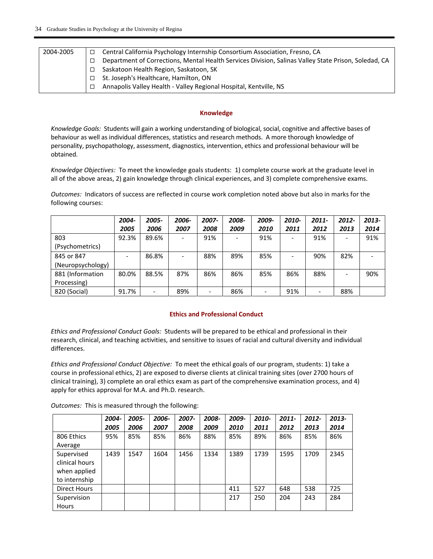| 2004-2005 | Central California Psychology Internship Consortium Association, Fresno, CA                          |
|-----------|------------------------------------------------------------------------------------------------------|
|           | Department of Corrections, Mental Health Services Division, Salinas Valley State Prison, Soledad, CA |
|           | Saskatoon Health Region, Saskatoon, SK                                                               |
|           | St. Joseph's Healthcare, Hamilton, ON                                                                |
|           | Annapolis Valley Health - Valley Regional Hospital, Kentville, NS                                    |

#### **Knowledge**

*Knowledge Goals:* Students will gain a working understanding of biological, social, cognitive and affective bases of behaviour as well as individual differences, statistics and research methods. A more thorough knowledge of personality, psychopathology, assessment, diagnostics, intervention, ethics and professional behaviour will be obtained.

*Knowledge Objectives:* To meet the knowledge goals students: 1) complete course work at the graduate level in all of the above areas, 2) gain knowledge through clinical experiences, and 3) complete comprehensive exams.

*Outcomes:* Indicators of success are reflected in course work completion noted above but also in marks for the following courses:

|                   | 2004- | 2005-                    | 2006- | 2007- | 2008- | 2009- | 2010- | $2011 -$ | 2012- | 2013- |
|-------------------|-------|--------------------------|-------|-------|-------|-------|-------|----------|-------|-------|
|                   | 2005  | 2006                     | 2007  | 2008  | 2009  | 2010  | 2011  | 2012     | 2013  | 2014  |
| 803               | 92.3% | 89.6%                    |       | 91%   |       | 91%   |       | 91%      |       | 91%   |
| (Psychometrics)   |       |                          |       |       |       |       |       |          |       |       |
| 845 or 847        |       | 86.8%                    |       | 88%   | 89%   | 85%   |       | 90%      | 82%   |       |
| (Neuropsychology) |       |                          |       |       |       |       |       |          |       |       |
| 881 (Information  | 80.0% | 88.5%                    | 87%   | 86%   | 86%   | 85%   | 86%   | 88%      |       | 90%   |
| Processing)       |       |                          |       |       |       |       |       |          |       |       |
| 820 (Social)      | 91.7% | $\overline{\phantom{a}}$ | 89%   |       | 86%   |       | 91%   |          | 88%   |       |

### **Ethics and Professional Conduct**

*Ethics and Professional Conduct Goals:* Students will be prepared to be ethical and professional in their research, clinical, and teaching activities, and sensitive to issues of racial and cultural diversity and individual differences.

*Ethics and Professional Conduct Objective:* To meet the ethical goals of our program, students: 1) take a course in professional ethics, 2) are exposed to diverse clients at clinical training sites (over 2700 hours of clinical training), 3) complete an oral ethics exam as part of the comprehensive examination process, and 4) apply for ethics approval for M.A. and Ph.D. research.

|                                                               | 2004- | 2005- | 2006- | 2007- | 2008- | 2009- | 2010- | $2011 -$ | 2012- | 2013- |
|---------------------------------------------------------------|-------|-------|-------|-------|-------|-------|-------|----------|-------|-------|
|                                                               | 2005  | 2006  | 2007  | 2008  | 2009  | 2010  | 2011  | 2012     | 2013  | 2014  |
| 806 Ethics                                                    | 95%   | 85%   | 85%   | 86%   | 88%   | 85%   | 89%   | 86%      | 85%   | 86%   |
| Average                                                       |       |       |       |       |       |       |       |          |       |       |
| Supervised<br>clinical hours<br>when applied<br>to internship | 1439  | 1547  | 1604  | 1456  | 1334  | 1389  | 1739  | 1595     | 1709  | 2345  |
| <b>Direct Hours</b>                                           |       |       |       |       |       | 411   | 527   | 648      | 538   | 725   |
| Supervision<br><b>Hours</b>                                   |       |       |       |       |       | 217   | 250   | 204      | 243   | 284   |

**Outcomes:** This is measured through the following: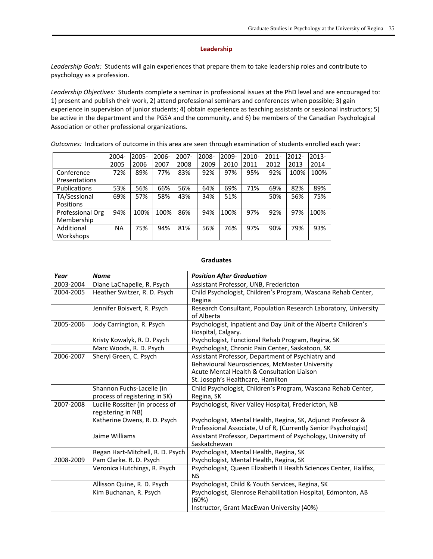#### **Leadership**

Leadership Goals: Students will gain experiences that prepare them to take leadership roles and contribute to psychology as a profession.

Leadership Objectives: Students complete a seminar in professional issues at the PhD level and are encouraged to: 1) present and publish their work, 2) attend professional seminars and conferences when possible; 3) gain experience in supervision of junior students; 4) obtain experience as teaching assistants or sessional instructors; 5) be active in the department and the PGSA and the community, and 6) be members of the Canadian Psychological Association or other professional organizations.

*Outcomes:* Indicators of outcome in this area are seen through examination of students enrolled each year:

|                     | 2004-     | $2005 -$ | 2006- | 2007- | 2008- | 2009- | 2010- | $2011 -$ | $2012 -$ | $2013 -$ |
|---------------------|-----------|----------|-------|-------|-------|-------|-------|----------|----------|----------|
|                     | 2005      | 2006     | 2007  | 2008  | 2009  | 2010  | 2011  | 2012     | 2013     | 2014     |
| Conference          | 72%       | 89%      | 77%   | 83%   | 92%   | 97%   | 95%   | 92%      | 100%     | 100%     |
| Presentations       |           |          |       |       |       |       |       |          |          |          |
| <b>Publications</b> | 53%       | 56%      | 66%   | 56%   | 64%   | 69%   | 71%   | 69%      | 82%      | 89%      |
| TA/Sessional        | 69%       | 57%      | 58%   | 43%   | 34%   | 51%   |       | 50%      | 56%      | 75%      |
| Positions           |           |          |       |       |       |       |       |          |          |          |
| Professional Org    | 94%       | 100%     | 100%  | 86%   | 94%   | 100%  | 97%   | 92%      | 97%      | 100%     |
| Membership          |           |          |       |       |       |       |       |          |          |          |
| Additional          | <b>NA</b> | 75%      | 94%   | 81%   | 56%   | 76%   | 97%   | 90%      | 79%      | 93%      |
| Workshops           |           |          |       |       |       |       |       |          |          |          |

#### **Graduates**

| Year      | <b>Name</b>                      | <b>Position After Graduation</b>                                  |
|-----------|----------------------------------|-------------------------------------------------------------------|
| 2003-2004 | Diane LaChapelle, R. Psych       | Assistant Professor, UNB, Fredericton                             |
| 2004-2005 | Heather Switzer, R. D. Psych     | Child Psychologist, Children's Program, Wascana Rehab Center,     |
|           |                                  | Regina                                                            |
|           | Jennifer Boisvert, R. Psych      | Research Consultant, Population Research Laboratory, University   |
|           |                                  | of Alberta                                                        |
| 2005-2006 | Jody Carrington, R. Psych        | Psychologist, Inpatient and Day Unit of the Alberta Children's    |
|           |                                  | Hospital, Calgary.                                                |
|           | Kristy Kowalyk, R. D. Psych      | Psychologist, Functional Rehab Program, Regina, SK                |
|           | Marc Woods, R. D. Psych          | Psychologist, Chronic Pain Center, Saskatoon, SK                  |
| 2006-2007 | Sheryl Green, C. Psych           | Assistant Professor, Department of Psychiatry and                 |
|           |                                  | Behavioural Neurosciences, McMaster University                    |
|           |                                  | Acute Mental Health & Consultation Liaison                        |
|           |                                  | St. Joseph's Healthcare, Hamilton                                 |
|           | Shannon Fuchs-Lacelle (in        | Child Psychologist, Children's Program, Wascana Rehab Center,     |
|           | process of registering in SK)    | Regina, SK                                                        |
| 2007-2008 | Lucille Rossiter (in process of  | Psychologist, River Valley Hospital, Fredericton, NB              |
|           | registering in NB)               |                                                                   |
|           | Katherine Owens, R. D. Psych     | Psychologist, Mental Health, Regina, SK, Adjunct Professor &      |
|           |                                  | Professional Associate, U of R, (Currently Senior Psychologist)   |
|           | Jaime Williams                   | Assistant Professor, Department of Psychology, University of      |
|           |                                  | Saskatchewan                                                      |
|           | Regan Hart-Mitchell, R. D. Psych | Psychologist, Mental Health, Regina, SK                           |
| 2008-2009 | Pam Clarke. R. D. Psych          | Psychologist, Mental Health, Regina, SK                           |
|           | Veronica Hutchings, R. Psych     | Psychologist, Queen Elizabeth II Health Sciences Center, Halifax, |
|           |                                  | <b>NS</b>                                                         |
|           | Allisson Quine, R. D. Psych      | Psychologist, Child & Youth Services, Regina, SK                  |
|           | Kim Buchanan, R. Psych           | Psychologist, Glenrose Rehabilitation Hospital, Edmonton, AB      |
|           |                                  | (60%)                                                             |
|           |                                  | Instructor, Grant MacEwan University (40%)                        |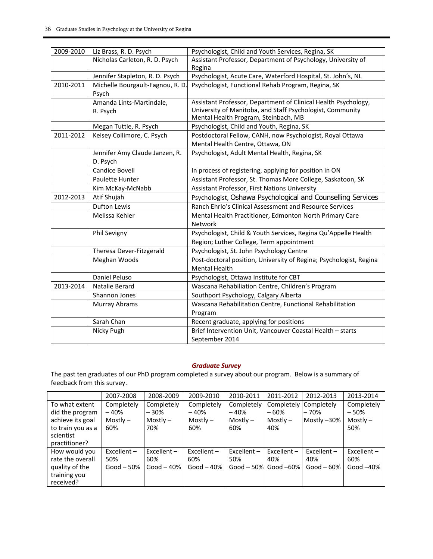| 2009-2010 | Liz Brass, R. D. Psych                     | Psychologist, Child and Youth Services, Regina, SK                                                                                                                  |
|-----------|--------------------------------------------|---------------------------------------------------------------------------------------------------------------------------------------------------------------------|
|           | Nicholas Carleton, R. D. Psych             | Assistant Professor, Department of Psychology, University of                                                                                                        |
|           |                                            | Regina                                                                                                                                                              |
|           | Jennifer Stapleton, R. D. Psych            | Psychologist, Acute Care, Waterford Hospital, St. John's, NL                                                                                                        |
| 2010-2011 | Michelle Bourgault-Fagnou, R. D<br>Psych   | Psychologist, Functional Rehab Program, Regina, SK                                                                                                                  |
|           | Amanda Lints-Martindale,<br>R. Psych       | Assistant Professor, Department of Clinical Health Psychology,<br>University of Manitoba, and Staff Psychologist, Community<br>Mental Health Program, Steinbach, MB |
|           | Megan Tuttle, R. Psych                     | Psychologist, Child and Youth, Regina, SK                                                                                                                           |
| 2011-2012 | Kelsey Collimore, C. Psych                 | Postdoctoral Fellow, CANH, now Psychologist, Royal Ottawa<br>Mental Health Centre, Ottawa, ON                                                                       |
|           | Jennifer Amy Claude Janzen, R.<br>D. Psych | Psychologist, Adult Mental Health, Regina, SK                                                                                                                       |
|           | Candice Bovell                             | In process of registering, applying for position in ON                                                                                                              |
|           | Paulette Hunter                            | Assistant Professor, St. Thomas More College, Saskatoon, SK                                                                                                         |
|           | Kim McKay-McNabb                           | Assistant Professor, First Nations University                                                                                                                       |
| 2012-2013 | Atif Shujah                                | Psychologist, Oshawa Psychological and Counselling Services                                                                                                         |
|           | <b>Dufton Lewis</b>                        | Ranch Ehrlo's Clinical Assessment and Resource Services                                                                                                             |
|           | Melissa Kehler                             | Mental Health Practitioner, Edmonton North Primary Care<br>Network                                                                                                  |
|           | Phil Sevigny                               | Psychologist, Child & Youth Services, Regina Qu'Appelle Health<br>Region; Luther College, Term appointment                                                          |
|           | Theresa Dever-Fitzgerald                   | Psychologist, St. John Psychology Centre                                                                                                                            |
|           | Meghan Woods                               | Post-doctoral position, University of Regina; Psychologist, Regina<br><b>Mental Health</b>                                                                          |
|           | Daniel Peluso                              | Psychologist, Ottawa Institute for CBT                                                                                                                              |
| 2013-2014 | Natalie Berard                             | Wascana Rehabiliation Centre, Children's Program                                                                                                                    |
|           | Shannon Jones                              | Southport Psychology, Calgary Alberta                                                                                                                               |
|           | <b>Murray Abrams</b>                       | Wascana Rehabilitation Centre, Functional Rehabilitation                                                                                                            |
|           |                                            | Program                                                                                                                                                             |
|           | Sarah Chan                                 | Recent graduate, applying for positions                                                                                                                             |
|           | Nicky Pugh                                 | Brief Intervention Unit, Vancouver Coastal Health - starts                                                                                                          |
|           |                                            | September 2014                                                                                                                                                      |

## *Graduate Survey*

The past ten graduates of our PhD program completed a survey about our program. Below is a summary of feedback from this survey.

|                                                                                         | 2007-2008                                 | 2008-2009                                | 2009-2010                                 | 2010-2011                                | 2011-2012                                | 2012-2013                              | 2013-2014                                 |
|-----------------------------------------------------------------------------------------|-------------------------------------------|------------------------------------------|-------------------------------------------|------------------------------------------|------------------------------------------|----------------------------------------|-------------------------------------------|
| To what extent<br>did the program<br>achieve its goal<br>to train you as a<br>scientist | Completely<br>$-40%$<br>Mostly $-$<br>60% | Completely<br>- 30%<br>$Mostly -$<br>70% | Completely<br>$-40%$<br>$Mostlv -$<br>60% | Completely<br>- 40%<br>$Mostlv -$<br>60% | Completely<br>- 60%<br>$Mostlv -$<br>40% | Completely<br>$-70%$<br>Mostly $-30\%$ | Completely<br>$-50%$<br>$Mostly -$<br>50% |
| practitioner?                                                                           |                                           |                                          |                                           |                                          |                                          |                                        |                                           |
| How would you<br>rate the overall<br>quality of the<br>training you<br>received?        | Excellent $-$<br>50%<br>Good $-50%$       | Excellent $-$<br>60%<br>Good $-40%$      | Excellent $-$<br>60%<br>Good $-40%$       | $Excellent -$<br>50%<br>Good $-50%$      | $Excellent -$<br>40%<br>Good $-60\%$     | $Excellent -$<br>40%<br>$Good - 60%$   | Excellent $-$<br>60%<br>Good $-40\%$      |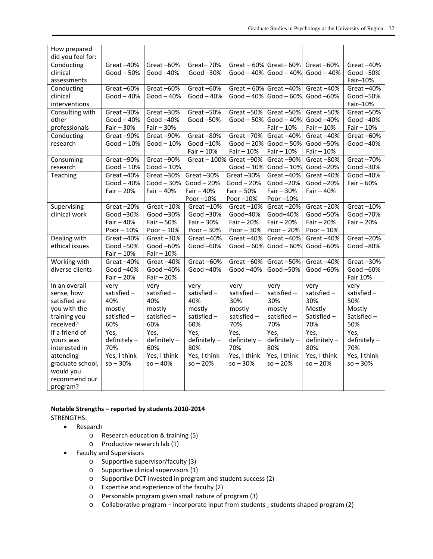| How prepared      |              |              |               |              |                             |              |              |
|-------------------|--------------|--------------|---------------|--------------|-----------------------------|--------------|--------------|
| did you feel for: |              |              |               |              |                             |              |              |
| Conducting        | Great-40%    | Great-60%    | Great-70%     |              | Great $-60\%$ Great $-60\%$ | Great $-60%$ | Great-40%    |
| clinical          | Good $-50%$  | Good-40%     | Good-30%      | Good $-40%$  | Good $-40%$                 | Good $-40%$  | Good-50%     |
| assessments       |              |              |               |              |                             |              | Fair-10%     |
| Conducting        | Great-60%    | Great-60%    | Great-60%     | Great $-60%$ | Great-40%                   | Great-40%    | Great-40%    |
| clinical          | Good $-40%$  | Good $-40%$  | Good $-40%$   | Good $-40%$  | Good $-60%$                 | Good-60%     | Good-50%     |
| interventions     |              |              |               |              |                             |              | Fair-10%     |
| Consulting with   | Great-30%    | Great-30%    | Great-50%     | Great-50%    | Great-50%                   | Great-50%    | Great-50%    |
| other             | Good $-40%$  | Good -40%    | Good-50%      | Good $-50%$  | Good $-40%$                 | Good-40%     | Good-40%     |
| professionals     | $Fair - 30%$ | $Fair - 30%$ |               |              | $Fair - 10%$                | $Fair - 10%$ | $Fair - 10%$ |
| Conducting        | Great-90%    | Great-90%    | Great-80%     | Great-70%    | Great-40%                   | Great-40%    | Great-60%    |
| research          | Good $-10%$  | $Good-10%$   | Good-10%      | $Good - 20%$ | Good $-50%$                 | Good-50%     | Good-40%     |
|                   |              |              | $Fair - 10%$  | $Fair - 10%$ | $Fair - 10%$                | $Fair - 10%$ |              |
| Consuming         | Great-90%    | Great-90%    | Great $-100%$ | Great-90%    | Great-90%                   | Great-80%    | Great-70%    |
| research          | $Good-10%$   | $Good-10%$   |               | $Good-10%$   | $Good-10%$                  | Good $-20%$  | Good-30%     |
| Teaching          | Great-40%    | Great-30%    | Great-30%     | Great-30%    | Great-40%                   | Great-40%    | Good-40%     |
|                   | Good $-40%$  | $Good - 30%$ | Good $-20%$   | $Good - 20%$ | Good-20%                    | Good $-20%$  | Fair $-60%$  |
|                   | $Fair - 20%$ | Fair $-40%$  | Fair $-40%$   | Fair - 50%   | $Fair - 30%$                | Fair $-40%$  |              |
|                   |              |              | Poor-10%      | Poor-10%     | Poor-10%                    |              |              |
| Supervising       | Great-20%    | Great-10%    | Great $-10%$  | Great $-10%$ | Great-20%                   | Great-20%    | Great $-10%$ |
| clinical work     | Good-30%     | Good $-30%$  | Good $-30%$   | Good-40%     | Good-40%                    | Good -50%    | Good-70%     |
|                   | $Fair - 40%$ | $Fair - 50%$ | Fair $-30%$   | $Fair - 20%$ | $Fair - 20%$                | $Fair - 20%$ | $Fair - 20%$ |
|                   | Poor $-10%$  | Poor $-10%$  | Poor $-30%$   | Poor $-30%$  | Poor $-20%$                 | Poor $-10%$  |              |
| Dealing with      | Great-40%    | Great-30%    | Great-40%     | Great-40%    | Great-40%                   | Great-40%    | Great-20%    |
| ethical issues    | Good-50%     | Good $-60\%$ | Good -60%     | Good $-60%$  | $Good - 60%$                | Good-60%     | Good-80%     |
|                   | $Fair - 10%$ | $Fair - 10%$ |               |              |                             |              |              |
| Working with      | Great-40%    | Great-40%    | Great-60%     | Great-60%    | Great-50%                   | Great-40%    | Great-30%    |
| diverse clients   | Good -40%    | Good -40%    | Good -40%     | Good-40%     | Good $-50\%$                | Good -60%    | Good-60%     |
|                   | Fair - 20%   | $Fair - 20%$ |               |              |                             |              | Fair 10%     |
| In an overall     | very         | very         | very          | very         | very                        | very         | very         |
| sense, how        | satisfied -  | satisfied -  | satisfied-    | satisfied -  | satisfied -                 | satisfied-   | satisfied -  |
| satisfied are     | 40%          | 40%          | 40%           | 30%          | 30%                         | 30%          | 50%          |
| you with the      | mostly       | mostly       | mostly        | mostly       | mostly                      | Mostly       | Mostly       |
| training you      | satisfied-   | satisfied-   | satisfied -   | satisfied -  | satisfied -                 | Satisfied-   | Satisfied-   |
| received?         | 60%          | 60%          | 60%           | 70%          | 70%                         | 70%          | 50%          |
| If a friend of    | Yes,         | Yes,         | Yes,          | Yes,         | Yes,                        | Yes,         | Yes,         |
| yours was         | definitely-  | definitely-  | definitely-   | definitely-  | definitely-                 | definitely-  | definitely-  |
| interested in     | 70%          | 60%          | 80%           | 70%          | 80%                         | 80%          | 70%          |
| attending         | Yes, I think | Yes, I think | Yes, I think  | Yes, I think | Yes, I think                | Yes, I think | Yes, I think |
| graduate school,  | $so - 30%$   | $so - 40%$   | $so - 20%$    | $so - 30%$   | $so - 20%$                  | $so - 20%$   | $so - 30%$   |
| would you         |              |              |               |              |                             |              |              |
| recommend our     |              |              |               |              |                             |              |              |
| program?          |              |              |               |              |                             |              |              |

#### **Notable Strengths – reported by students 2010‐2014** STRENGTHS:

- Research
	- o Research education & training (5)
	- o Productive research lab (1)
- Faculty and Supervisors
	- o Supportive supervisor/faculty (3)
	- o Supportive clinical supervisors (1)
	- o Supportive DCT invested in program and student success (2)
	- o Expertise and experience of the faculty (2)
	- o Personable program given small nature of program (3)
	- o Collaborative program incorporate input from students ; students shaped program (2)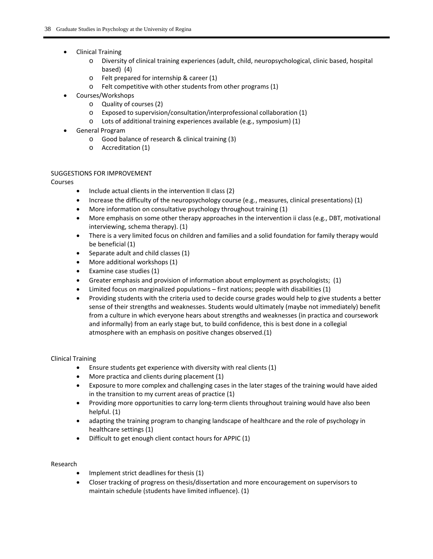- Clinical Training
	- o Diversity of clinical training experiences (adult, child, neuropsychological, clinic based, hospital based) (4)
	- o Felt prepared for internship & career (1)
	- o Felt competitive with other students from other programs (1)
- Courses/Workshops
	- o Quality of courses (2)
	- o Exposed to supervision/consultation/interprofessional collaboration (1)
	- o Lots of additional training experiences available (e.g., symposium) (1)
- General Program
	- o Good balance of research & clinical training (3)
	- o Accreditation (1)

### SUGGESTIONS FOR IMPROVEMENT

Courses

- Include actual clients in the intervention II class (2)
- Increase the difficulty of the neuropsychology course (e.g., measures, clinical presentations) (1)
- More information on consultative psychology throughout training (1)
- More emphasis on some other therapy approaches in the intervention ii class (e.g., DBT, motivational interviewing, schema therapy). (1)
- There is a very limited focus on children and families and a solid foundation for family therapy would be beneficial (1)
- Separate adult and child classes (1)
- More additional workshops (1)
- Examine case studies (1)
- Greater emphasis and provision of information about employment as psychologists; (1)
- Limited focus on marginalized populations first nations; people with disabilities (1)
- Providing students with the criteria used to decide course grades would help to give students a better sense of their strengths and weaknesses. Students would ultimately (maybe not immediately) benefit from a culture in which everyone hears about strengths and weaknesses (in practica and coursework and informally) from an early stage but, to build confidence, this is best done in a collegial atmosphere with an emphasis on positive changes observed.(1)

### Clinical Training

- Ensure students get experience with diversity with real clients (1)
- More practica and clients during placement (1)
- Exposure to more complex and challenging cases in the later stages of the training would have aided in the transition to my current areas of practice (1)
- Providing more opportunities to carry long-term clients throughout training would have also been helpful. (1)
- adapting the training program to changing landscape of healthcare and the role of psychology in healthcare settings (1)
- Difficult to get enough client contact hours for APPIC (1)

#### Research

- Implement strict deadlines for thesis (1)
- Closer tracking of progress on thesis/dissertation and more encouragement on supervisors to maintain schedule (students have limited influence). (1)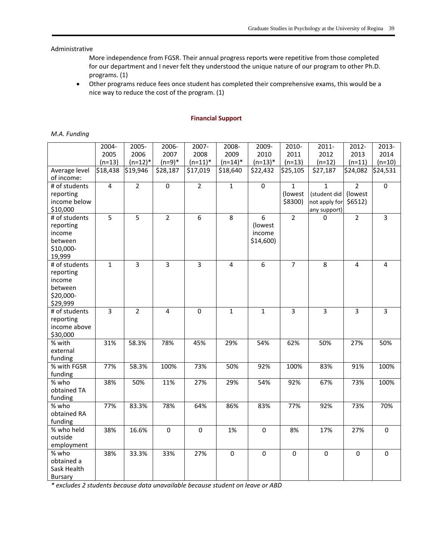### Administrative

More independence from FGSR. Their annual progress reports were repetitive from those completed for our department and I never felt they understood the unique nature of our program to other Ph.D. programs. (1)

 Other programs reduce fees once student has completed their comprehensive exams, this would be a nice way to reduce the cost of the program. (1)

#### **Financial Support**

|  | M.A. Funding |
|--|--------------|
|--|--------------|

|                             | 2004-          | 2005-          | 2006-          | 2007-          | 2008-          | 2009-        | 2010-          | $2011 -$       | 2012-          | 2013-          |
|-----------------------------|----------------|----------------|----------------|----------------|----------------|--------------|----------------|----------------|----------------|----------------|
|                             | 2005           | 2006           | 2007           | 2008           | 2009           | 2010         | 2011           | 2012           | 2013           | 2014           |
|                             | $(n=13)$       | $(n=12)^*$     | $(n=9)*$       | $(n=11)^*$     | $(n=14)^*$     | $(n=13)^*$   | $(n=13)$       | $(n=12)$       | $(n=11)$       | $(n=10)$       |
| Average level<br>of income: | \$18,438       | \$19,946       | \$28,187       | \$17,019       | \$18,640       | \$22,432     | \$25,105       | \$27,187       | \$24,082       | \$24,531       |
| # of students               | $\overline{4}$ | $\overline{2}$ | $\overline{0}$ | $\overline{2}$ | $\mathbf{1}$   | $\pmb{0}$    | $\mathbf{1}$   | $\mathbf{1}$   | $\overline{2}$ | $\pmb{0}$      |
| reporting                   |                |                |                |                |                |              | (lowest        | (student did   | (lowest        |                |
| income below                |                |                |                |                |                |              | \$8300)        | not apply for  | \$6512)        |                |
| \$10,000                    |                |                |                |                |                |              |                | any support)   |                |                |
| # of students               | 5              | 5              | $\overline{2}$ | 6              | 8              | 6            | $\overline{2}$ | 0              | $\overline{2}$ | $\overline{3}$ |
| reporting                   |                |                |                |                |                | (lowest      |                |                |                |                |
| income                      |                |                |                |                |                | income       |                |                |                |                |
| between                     |                |                |                |                |                | $$14,600$ )  |                |                |                |                |
| \$10,000-                   |                |                |                |                |                |              |                |                |                |                |
| 19,999                      |                |                |                |                |                |              |                |                |                |                |
| # of students               | $\mathbf{1}$   | $\overline{3}$ | $\overline{3}$ | 3              | $\overline{4}$ | 6            | $\overline{7}$ | 8              | $\overline{4}$ | $\overline{4}$ |
| reporting                   |                |                |                |                |                |              |                |                |                |                |
| income                      |                |                |                |                |                |              |                |                |                |                |
| between                     |                |                |                |                |                |              |                |                |                |                |
| \$20,000-                   |                |                |                |                |                |              |                |                |                |                |
| \$29,999                    |                |                |                |                |                |              |                |                |                |                |
| # of students               | $\overline{3}$ | $\overline{2}$ | $\overline{4}$ | $\mathbf 0$    | $\mathbf{1}$   | $\mathbf{1}$ | $\overline{3}$ | $\overline{3}$ | $\overline{3}$ | $\overline{3}$ |
| reporting                   |                |                |                |                |                |              |                |                |                |                |
| income above                |                |                |                |                |                |              |                |                |                |                |
| \$30,000<br>% with          | 31%            | 58.3%          | 78%            | 45%            | 29%            | 54%          | 62%            | 50%            | 27%            | 50%            |
| external                    |                |                |                |                |                |              |                |                |                |                |
| funding                     |                |                |                |                |                |              |                |                |                |                |
| $\overline{\%}$ with FGSR   | 77%            | 58.3%          | 100%           | 73%            | 50%            | 92%          | 100%           | 83%            | 91%            | 100%           |
| funding                     |                |                |                |                |                |              |                |                |                |                |
| % who                       | 38%            | 50%            | 11%            | 27%            | 29%            | 54%          | 92%            | 67%            | 73%            | 100%           |
| obtained TA                 |                |                |                |                |                |              |                |                |                |                |
| funding                     |                |                |                |                |                |              |                |                |                |                |
| % who                       | 77%            | 83.3%          | 78%            | 64%            | 86%            | 83%          | 77%            | 92%            | 73%            | 70%            |
| obtained RA                 |                |                |                |                |                |              |                |                |                |                |
| funding                     |                |                |                |                |                |              |                |                |                |                |
| % who held                  | 38%            | 16.6%          | $\pmb{0}$      | $\pmb{0}$      | 1%             | $\pmb{0}$    | 8%             | 17%            | 27%            | $\mathbf 0$    |
| outside                     |                |                |                |                |                |              |                |                |                |                |
| employment                  |                |                |                |                |                |              |                |                |                |                |
| % who                       | 38%            | 33.3%          | 33%            | 27%            | $\mathbf 0$    | $\mathbf 0$  | $\mathbf 0$    | $\mathbf 0$    | $\mathbf 0$    | $\mathbf 0$    |
| obtained a                  |                |                |                |                |                |              |                |                |                |                |
| Sask Health                 |                |                |                |                |                |              |                |                |                |                |
| Bursary                     |                |                |                |                |                |              |                |                |                |                |

*\* excludes 2 students because data unavailable because student on leave or ABD*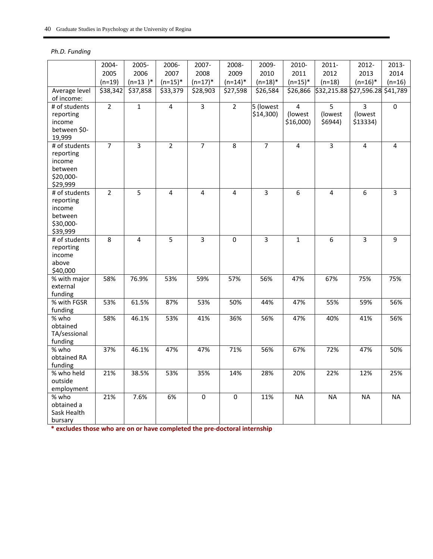## *Ph.D. Funding*

|                                                                          | 2004-          | 2005-          | 2006-          | 2007-                   | 2008-          | 2009-                     | 2010-                                    | 2011-                                | 2012-                                 | 2013-          |
|--------------------------------------------------------------------------|----------------|----------------|----------------|-------------------------|----------------|---------------------------|------------------------------------------|--------------------------------------|---------------------------------------|----------------|
|                                                                          | 2005           | 2006           | 2007           | 2008                    | 2009           | 2010                      | 2011                                     | 2012                                 | 2013                                  | 2014           |
|                                                                          | $(n=19)$       | $(n=13)^*$     | $(n=15)^*$     | $(n=17)^*$              | $(n=14)^*$     | $(n=18)^*$                | $(n=15)^*$                               | $(n=18)$                             | $(n=16)^*$                            | $(n=16)$       |
| Average level<br>of income:                                              | \$38,342       | \$37,858       | \$33,379       | \$28,903                | \$27,598       | \$26,584                  | $\overline{$}26,866$                     | \$32,215.88 \$27,596.28 \$41,789     |                                       |                |
| # of students<br>reporting<br>income<br>between \$0-<br>19,999           | $\overline{2}$ | $\overline{1}$ | $\overline{4}$ | $\overline{3}$          | $\overline{2}$ | 5 (lowest)<br>$$14,300$ ) | $\overline{4}$<br>(lowest<br>$$16,000$ ) | $\overline{5}$<br>(lowest<br>\$6944) | $\overline{3}$<br>(lowest<br>\$13334) | 0              |
| # of students<br>reporting<br>income<br>between<br>\$20,000-<br>\$29,999 | $\overline{7}$ | 3              | $\overline{2}$ | $\overline{7}$          | 8              | $\overline{7}$            | 4                                        | $\overline{3}$                       | 4                                     | 4              |
| # of students<br>reporting<br>income<br>between<br>\$30,000-<br>\$39,999 | $\overline{2}$ | 5              | $\overline{4}$ | $\overline{\mathbf{4}}$ | 4              | $\overline{3}$            | $\boldsymbol{6}$                         | $\overline{4}$                       | 6                                     | $\overline{3}$ |
| # of students<br>reporting<br>income<br>above<br>\$40,000                | 8              | $\overline{4}$ | 5              | 3                       | 0              | 3                         | $\mathbf{1}$                             | 6                                    | $\overline{3}$                        | 9              |
| $\frac{1}{2}$ with major<br>external<br>funding                          | 58%            | 76.9%          | 53%            | 59%                     | 57%            | 56%                       | 47%                                      | 67%                                  | 75%                                   | 75%            |
| % with FGSR<br>funding                                                   | 53%            | 61.5%          | 87%            | 53%                     | 50%            | 44%                       | 47%                                      | 55%                                  | 59%                                   | 56%            |
| % who<br>obtained<br>TA/sessional<br>funding                             | 58%            | 46.1%          | 53%            | 41%                     | 36%            | 56%                       | 47%                                      | 40%                                  | 41%                                   | 56%            |
| % who<br>obtained RA<br>funding                                          | 37%            | 46.1%          | 47%            | 47%                     | 71%            | 56%                       | 67%                                      | 72%                                  | 47%                                   | 50%            |
| $\overline{\%}$ who held<br>outside<br>employment                        | 21%            | 38.5%          | 53%            | 35%                     | 14%            | 28%                       | 20%                                      | 22%                                  | 12%                                   | 25%            |
| % who<br>obtained a<br>Sask Health<br>bursary                            | 21%            | 7.6%           | 6%             | $\mathbf 0$             | $\mathbf 0$    | 11%                       | <b>NA</b>                                | <b>NA</b>                            | <b>NA</b>                             | NA             |

**\* excludes those who are on or have completed the pre‐doctoral internship**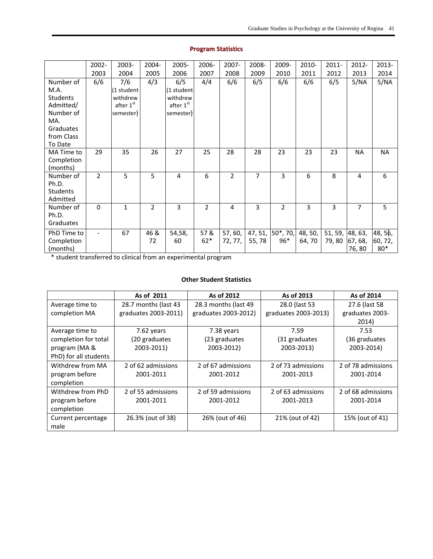|                                                                                                             | 2002-          | 2003-                                                   | 2004-          | 2005-                                                   | 2006-        | 2007-              | 2008- | 2009-                     | 2010-             | $2011 -$                 | 2012-            | 2013-                       |
|-------------------------------------------------------------------------------------------------------------|----------------|---------------------------------------------------------|----------------|---------------------------------------------------------|--------------|--------------------|-------|---------------------------|-------------------|--------------------------|------------------|-----------------------------|
|                                                                                                             | 2003           | 2004                                                    | 2005           | 2006                                                    | 2007         | 2008               | 2009  | 2010                      | 2011              | 2012                     | 2013             | 2014                        |
| Number of<br>M.A.<br><b>Students</b><br>Admitted/<br>Number of<br>MA.<br>Graduates<br>from Class<br>To Date | 6/6            | 7/6<br>(1 student<br>withdrew<br>after 1st<br>semester) | 4/3            | 6/5<br>(1 student<br>withdrew<br>after 1st<br>semester) | 4/4          | 6/6                | 6/5   | 6/6                       | 6/6               | 6/5                      | 5/NA             | 5/NA                        |
| MA Time to<br>Completion<br>(months)                                                                        | 29             | 35                                                      | 26             | 27                                                      | 25           | 28                 | 28    | 23                        | 23                | 23                       | <b>NA</b>        | <b>NA</b>                   |
| Number of<br>Ph.D.<br><b>Students</b><br>Admitted                                                           | $\overline{2}$ | 5                                                       | 5              | 4                                                       | 6            | $\overline{2}$     | 7     | 3                         | 6                 | 8                        | 4                | 6                           |
| Number of<br>Ph.D.<br>Graduates                                                                             | $\mathbf 0$    | $\mathbf{1}$                                            | $\overline{2}$ | 3                                                       | 2            | 4                  | 3     | $\overline{2}$            | 3                 | 3                        | 7                | 5                           |
| PhD Time to<br>Completion<br>(months)                                                                       |                | 67                                                      | 46 &<br>72     | 54,58,<br>60                                            | 57&<br>$62*$ | 57, 60,<br>72, 77, | 55,78 | 47, 51, 50*, 70,<br>$96*$ | 48, 50,<br>64, 70 | 51, 59, 48, 63,<br>79,80 | 67, 68,<br>76,80 | 48, 56,<br>60, 72,<br>$80*$ |

## **Program Statistics**

\* student transferred to clinical from an experimental program

## **Other Student Statistics**

|                       | As of 2011           | As of 2012           | As of 2013           | As of 2014         |
|-----------------------|----------------------|----------------------|----------------------|--------------------|
| Average time to       | 28.7 months (last 43 | 28.3 months (last 49 | 28.0 (last 53        | 27.6 (last 58)     |
| completion MA         | graduates 2003-2011) | graduates 2003-2012) | graduates 2003-2013) | graduates 2003-    |
|                       |                      |                      |                      | 2014)              |
| Average time to       | 7.62 years           | 7.38 years           | 7.59                 | 7.53               |
| completion for total  | (20 graduates        | (23 graduates        | (31 graduates        | (36 graduates      |
| program (MA &         | 2003-2011)           | 2003-2012)           | 2003-2013)           | 2003-2014)         |
| PhD) for all students |                      |                      |                      |                    |
| Withdrew from MA      | 2 of 62 admissions   | 2 of 67 admissions   | 2 of 73 admissions   | 2 of 78 admissions |
| program before        | 2001-2011            | 2001-2012            | 2001-2013            | 2001-2014          |
| completion            |                      |                      |                      |                    |
| Withdrew from PhD     | 2 of 55 admissions   | 2 of 59 admissions   | 2 of 63 admissions   | 2 of 68 admissions |
| program before        | 2001-2011            | 2001-2012            | 2001-2013            | 2001-2014          |
| completion            |                      |                      |                      |                    |
| Current percentage    | 26.3% (out of 38)    | 26% (out of 46)      | 21% (out of 42)      | 15% (out of 41)    |
| male                  |                      |                      |                      |                    |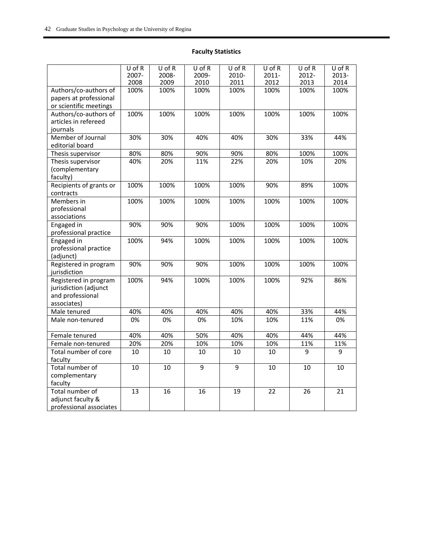## **Faculty Statistics**

|                                       | $U$ of R<br>2007- | U of R<br>2008- | $U$ of R<br>2009- | $U$ of R<br>2010- | $U$ of R<br>$2011 -$ | $U$ of R<br>2012- | $U$ of R<br>2013- |
|---------------------------------------|-------------------|-----------------|-------------------|-------------------|----------------------|-------------------|-------------------|
|                                       | 2008              | 2009            | 2010              | 2011              | 2012                 | 2013              | 2014              |
| Authors/co-authors of                 | 100%              | 100%            | 100%              | 100%              | 100%                 | 100%              | 100%              |
| papers at professional                |                   |                 |                   |                   |                      |                   |                   |
| or scientific meetings                |                   |                 |                   |                   |                      |                   |                   |
| Authors/co-authors of                 | 100%              | 100%            | 100%              | 100%              | 100%                 | 100%              | 100%              |
| articles in refereed                  |                   |                 |                   |                   |                      |                   |                   |
| journals                              |                   |                 |                   |                   |                      |                   |                   |
| Member of Journal                     | 30%               | 30%             | 40%               | 40%               | 30%                  | 33%               | 44%               |
| editorial board                       |                   |                 |                   |                   |                      |                   |                   |
| Thesis supervisor                     | 80%               | 80%             | 90%               | 90%               | 80%                  | 100%              | 100%              |
| Thesis supervisor                     | 40%               | 20%             | 11%               | 22%               | 20%                  | 10%               | 20%               |
| (complementary                        |                   |                 |                   |                   |                      |                   |                   |
| faculty)                              |                   |                 |                   |                   |                      |                   |                   |
| Recipients of grants or               | 100%              | 100%            | 100%              | 100%              | 90%                  | 89%               | 100%              |
| contracts                             |                   |                 |                   |                   |                      |                   |                   |
| Members in                            | 100%              | 100%            | 100%              | 100%              | 100%                 | 100%              | 100%              |
| professional                          |                   |                 |                   |                   |                      |                   |                   |
| associations                          |                   |                 |                   |                   |                      |                   |                   |
| Engaged in                            | 90%               | 90%             | 90%               | 100%              | 100%                 | 100%              | 100%              |
| professional practice                 |                   |                 |                   |                   |                      |                   |                   |
| Engaged in                            | 100%              | 94%             | 100%              | 100%              | 100%                 | 100%              | 100%              |
| professional practice                 |                   |                 |                   |                   |                      |                   |                   |
| (adjunct)                             |                   |                 |                   |                   |                      |                   |                   |
| Registered in program                 | 90%               | 90%             | 90%               | 100%              | 100%                 | 100%              | 100%              |
| jurisdiction<br>Registered in program | 100%              | 94%             | 100%              | 100%              | 100%                 | 92%               | 86%               |
| jurisdiction (adjunct                 |                   |                 |                   |                   |                      |                   |                   |
| and professional                      |                   |                 |                   |                   |                      |                   |                   |
| associates)                           |                   |                 |                   |                   |                      |                   |                   |
| Male tenured                          | 40%               | 40%             | 40%               | 40%               | 40%                  | 33%               | 44%               |
| Male non-tenured                      | 0%                | 0%              | 0%                | 10%               | 10%                  | 11%               | 0%                |
|                                       |                   |                 |                   |                   |                      |                   |                   |
| Female tenured                        | 40%               | 40%             | 50%               | 40%               | 40%                  | 44%               | 44%               |
| Female non-tenured                    | 20%               | 20%             | 10%               | 10%               | 10%                  | 11%               | 11%               |
| Total number of core                  | 10                | 10              | 10                | 10                | 10                   | 9                 | 9                 |
| faculty                               |                   |                 |                   |                   |                      |                   |                   |
| Total number of                       | 10                | 10              | $\overline{9}$    | $\overline{9}$    | 10                   | 10                | 10                |
| complementary                         |                   |                 |                   |                   |                      |                   |                   |
| faculty                               |                   |                 |                   |                   |                      |                   |                   |
| Total number of                       | 13                | 16              | 16                | 19                | 22                   | 26                | 21                |
| adjunct faculty &                     |                   |                 |                   |                   |                      |                   |                   |
| professional associates               |                   |                 |                   |                   |                      |                   |                   |